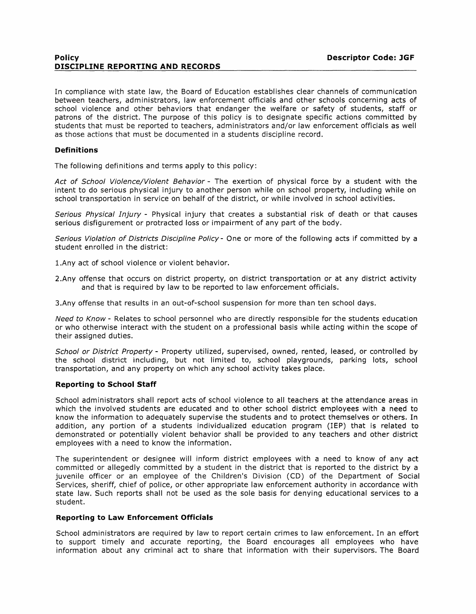## **Policy Descriptor Code: JGF DISCIPLINE REPORTING AND RECORDS**

In compliance with state law, the Board of Education establishes clear channels of communication between teachers, administrators, law enforcement officials and other schools concerning acts of school violence and other behaviors that endanger the welfare or safety of students, staff or patrons of the district. The purpose of this policy is to designate specific actions committed by students that must be reported to teachers, administrators and/or law enforcement officials as well as those actions that must be documented in a students discipline record.

# **Definitions**

The following definitions and terms apply to this policy:

Act of School Violence/Violent Behavior - The exertion of physical force by a student with the intent to do serious physical injury to another person while on school property, including while on school transportation in service on behalf of the district, or while involved in school activities.

Serious Physical Injury - Physical injury that creates a substantial risk of death or that causes serious disfigurement or protracted loss or impairment of any part of the body.

Serious Violation of Districts Discipline Policy- One or more of the following acts if committed by a student enrolled in the district:

1.Any act of school violence or violent behavior.

2.Any offense that occurs on district property, on district transportation or at any district activity and that is required by law to be reported to law enforcement officials.

3.Any offense that results in an out-of-school suspension for more than ten school days.

Need to Know - Relates to school personnel who are directly responsible for the students education or who otherwise interact with the student on a professional basis while acting within the scope of their assigned duties.

School or District Property - Property utilized, supervised, owned, rented, leased, or controlled by the school district including, but not limited to, school playgrounds, parking lots, school transportation, and any property on which any school activity takes place.

#### **Reporting to School Staff**

School administrators shall report acts of school violence to all teachers at the attendance areas in which the involved students are educated and to other school district employees with a need to know the information to adequately supervise the students and to protect themselves or others. In addition, any portion of a students individualized education program (IEP) that is related to demonstrated or potentially violent behavior shall be provided to any teachers and other district employees with a need to know the information.

The superintendent or designee will inform district employees with a need to know of any act committed or allegedly committed by a student in the district that is reported to the district by a juvenile officer or an employee of the Children's Division (CD) of the Department of Social Services, sheriff, chief of police, or other appropriate law enforcement authority in accordance with state law. Such reports shall not be used as the sole basis for denying educational services to a student.

# **Reporting to Law Enforcement Officials**

School administrators are required by law to report certain crimes to law enforcement. In an effort to support timely and accurate reporting, the Board encourages all employees who have information about any criminal act to share that information with their supervisors. The Board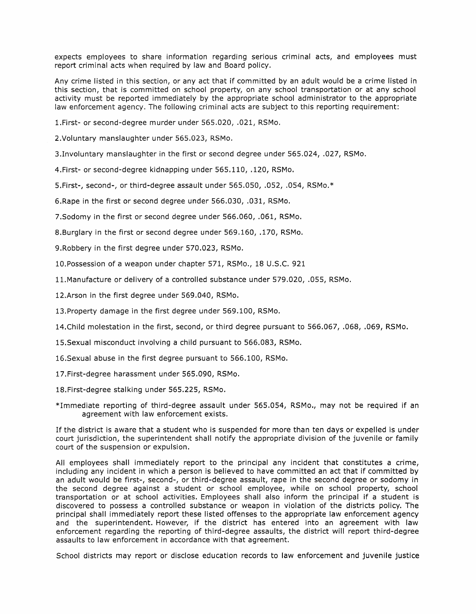expects employees to share information regarding serious criminal acts, and employees must report criminal acts when required by law and Board policy.

Any crime listed in this section, or any act that if committed by an adult would be a crime listed in this section, that is committed on school property, on any school transportation or at any school activity must be reported immediately by the appropriate school administrator to the appropriate law enforcement agency. The following criminal acts are subject to this reporting requirement:

!.First- or second-degree murder under 565.020, .021, RSMo.

2.Voluntary manslaughter under 565.023, RSMo.

3.Involuntary manslaughter in the first or second degree under 565.024, .027, RSMo.

4.First- or second-degree kidnapping under 565.110, .120, RSMo.

5.First-, second-, or third-degree assault under 565.050, .052, .054, RSMo.\*

6.Rape in the first or second degree under 566.030, .031, RSMo.

?.Sodomy in the first or second degree under 566.060, .061, RSMo.

8.Burglary in the first or second degree under 569.160, .170, RSMo.

9.Robbery in the first degree under 570.023, RSMo.

10.Possession of a weapon under chapter 571, RSMo., 18 U.S.C. 921

!!.Manufacture or delivery of a controlled substance under 579.020, .055, RSMo.

12.Arson in the first degree under 569.040, RSMo.

13.Property damage in the first degree under 569.100, RSMo.

14.Child molestation in the first, second, or third degree pursuant to 566.067, .068, .069, RSMo.

15.Sexual misconduct involving a child pursuant to 566.083, RSMo.

16.Sexual abuse in the first degree pursuant to 566.100, RSMo.

17.First-degree harassment under 565.090, RSMo.

18.First-degree stalking under 565.225, RSMo.

\*Immediate reporting of third-degree assault under 565.054, RSMo., may not be required if an agreement with law enforcement exists.

If the district is aware that a student who is suspended for more than ten days or expelled is under court jurisdiction, the superintendent shall notify the appropriate division of the juvenile or family court of the suspension or expulsion.

All employees shall immediately report to the principal any incident that constitutes a crime, including any incident in which a person is believed to have committed an act that if committed by an adult would be first-, second-, or third-degree assault, rape in the second degree or sodomy in the second degree against a student or school employee, while on school property, school transportation or at school activities. Employees shall also inform the principal if a student is discovered to possess a controlled substance or weapon in violation of the districts policy. The principal shall immediately report these listed offenses to the appropriate law enforcement agency and the superintendent. However, if the district has entered into an agreement with law enforcement regarding the reporting of third-degree assaults, the district will report third-degree assaults to law enforcement in accordance with that agreement.

School districts may report or disclose education records to law enforcement and juvenile justice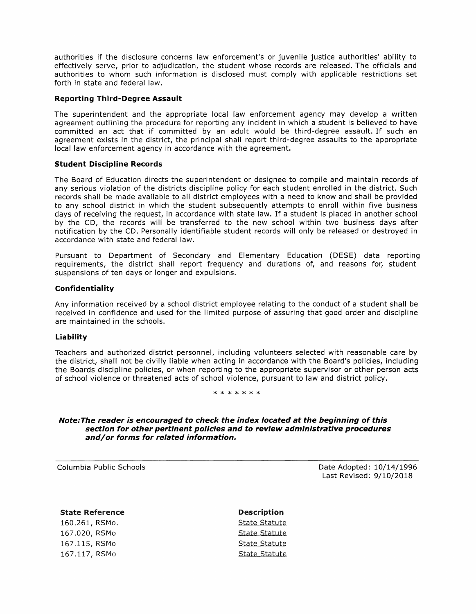authorities if the disclosure concerns law enforcement's or juvenile justice authorities' ability to effectively serve, prior to adjudication, the student whose records are released. The officials and authorities to whom such information is disclosed must comply with applicable restrictions set forth in state and federal law.

## **Reporting Third-Degree Assault**

The superintendent and the appropriate local law enforcement agency may develop a written agreement outlining the procedure for reporting any incident in which a student is believed to have committed an act that if committed by an adult would be third-degree assault. If such an agreement exists in the district, the principal shall report third-degree assaults to the appropriate local law enforcement agency in accordance with the agreement.

## **Student Discipline Records**

The Board of Education directs the superintendent or designee to compile and maintain records of any serious violation of the districts discipline policy for each student enrolled in the district. Such records shall be made available to all district employees with a need to know and shall be provided to any school district in which the student subsequently attempts to enroll within five business days of receiving the request, in accordance with state law. If a student is placed in another school by the CD, the records will be transferred to the new school within two business days after notification by the CD. Personally identifiable student records will only be released or destroyed in accordance with state and federal law.

Pursuant to Department of Secondary and Elementary Education (DESE) data reporting requirements, the district shall report frequency and durations of, and reasons for, student suspensions of ten days or longer and expulsions.

## **Confidentiality**

Any information received by a school district employee relating to the conduct of a student shall be received in confidence and used for the limited purpose of assuring that good order and discipline are maintained in the schools.

#### **Liability**

Teachers and authorized district personnel, including volunteers selected with reasonable care by the district, shall not be civilly liable when acting in accordance with the Board's policies, including the Boards discipline policies, or when reporting to the appropriate supervisor or other person acts of school violence or threatened acts of school violence, pursuant to law and district policy.

### \* \* \* \* \* \* \*

### **Note:The reader is encouraged to check the index located at the beginning of this section for other pertinent policies and to review administrative procedures and/or forms for related information.**

Columbia Public Schools

Date Adopted: 10/14/1996 Last Revised: 9/10/2018

#### State Reference

160.261, RSMo. 167.020, RSMo 167.115, RSMo 167.117, RSMo

Description State Statute State Statute State Statute State Statute